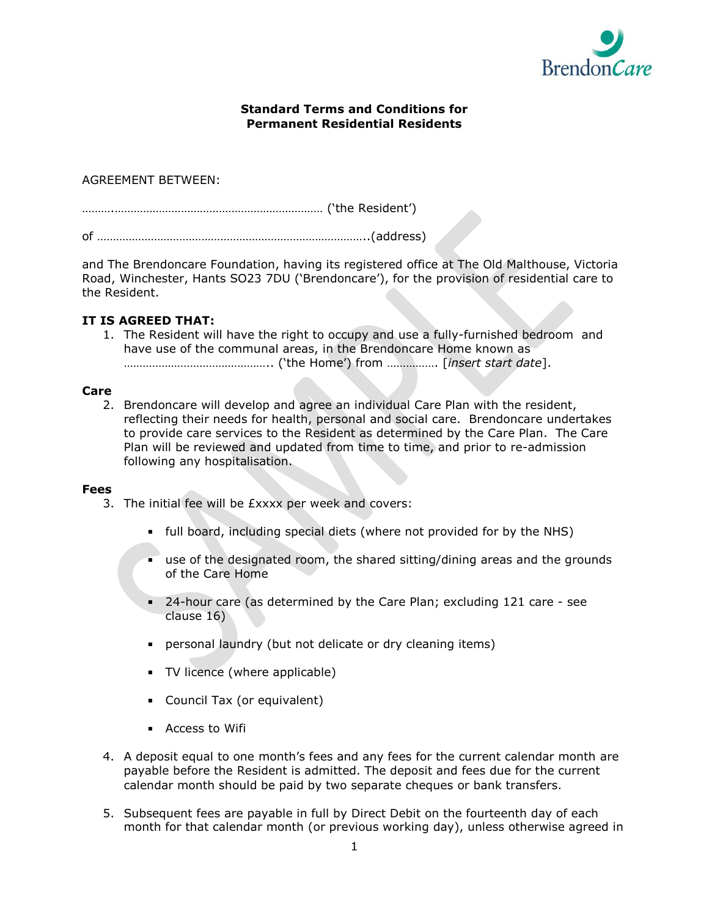

## **Standard Terms and Conditions for Permanent Residential Residents**

# AGREEMENT BETWEEN:

```
……….………………………………………………………… ('the Resident')
of …………………………………………………………………………..(address)
```
and The Brendoncare Foundation, having its registered office at The Old Malthouse, Victoria Road, Winchester, Hants SO23 7DU ('Brendoncare'), for the provision of residential care to the Resident.

# **IT IS AGREED THAT:**

1. The Resident will have the right to occupy and use a fully-furnished bedroom and have use of the communal areas, in the Brendoncare Home known as ……………………………………….. ('the Home') from ……………. [*insert start date*].

## **Care**

2. Brendoncare will develop and agree an individual Care Plan with the resident, reflecting their needs for health, personal and social care. Brendoncare undertakes to provide care services to the Resident as determined by the Care Plan. The Care Plan will be reviewed and updated from time to time, and prior to re-admission following any hospitalisation.

#### **Fees**

- 3. The initial fee will be £xxxx per week and covers:
	- full board, including special diets (where not provided for by the NHS)
	- use of the designated room, the shared sitting/dining areas and the grounds of the Care Home
	- 24-hour care (as determined by the Care Plan; excluding 121 care see clause 16)
	- personal laundry (but not delicate or dry cleaning items)
	- **TV** licence (where applicable)
	- Council Tax (or equivalent)
	- **Access to Wifi**
- 4. A deposit equal to one month's fees and any fees for the current calendar month are payable before the Resident is admitted. The deposit and fees due for the current calendar month should be paid by two separate cheques or bank transfers.
- 5. Subsequent fees are payable in full by Direct Debit on the fourteenth day of each month for that calendar month (or previous working day), unless otherwise agreed in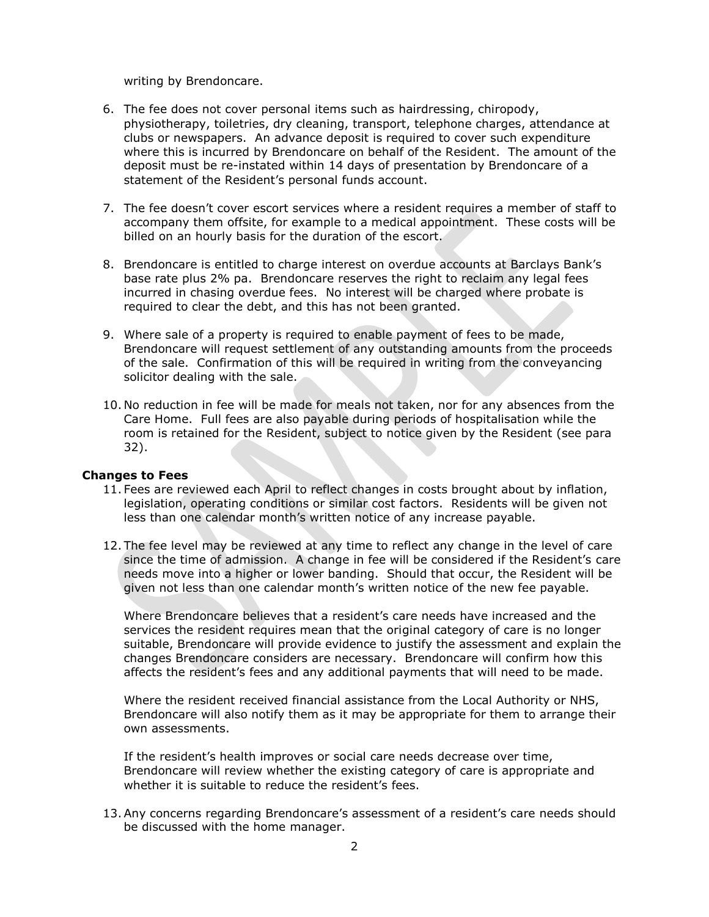writing by Brendoncare.

- 6. The fee does not cover personal items such as hairdressing, chiropody, physiotherapy, toiletries, dry cleaning, transport, telephone charges, attendance at clubs or newspapers. An advance deposit is required to cover such expenditure where this is incurred by Brendoncare on behalf of the Resident. The amount of the deposit must be re-instated within 14 days of presentation by Brendoncare of a statement of the Resident's personal funds account.
- 7. The fee doesn't cover escort services where a resident requires a member of staff to accompany them offsite, for example to a medical appointment. These costs will be billed on an hourly basis for the duration of the escort.
- 8. Brendoncare is entitled to charge interest on overdue accounts at Barclays Bank's base rate plus 2% pa. Brendoncare reserves the right to reclaim any legal fees incurred in chasing overdue fees. No interest will be charged where probate is required to clear the debt, and this has not been granted.
- 9. Where sale of a property is required to enable payment of fees to be made, Brendoncare will request settlement of any outstanding amounts from the proceeds of the sale. Confirmation of this will be required in writing from the conveyancing solicitor dealing with the sale.
- 10. No reduction in fee will be made for meals not taken, nor for any absences from the Care Home. Full fees are also payable during periods of hospitalisation while the room is retained for the Resident, subject to notice given by the Resident (see para 32).

#### **Changes to Fees**

- 11. Fees are reviewed each April to reflect changes in costs brought about by inflation, legislation, operating conditions or similar cost factors. Residents will be given not less than one calendar month's written notice of any increase payable.
- 12. The fee level may be reviewed at any time to reflect any change in the level of care since the time of admission. A change in fee will be considered if the Resident's care needs move into a higher or lower banding. Should that occur, the Resident will be given not less than one calendar month's written notice of the new fee payable.

Where Brendoncare believes that a resident's care needs have increased and the services the resident requires mean that the original category of care is no longer suitable, Brendoncare will provide evidence to justify the assessment and explain the changes Brendoncare considers are necessary. Brendoncare will confirm how this affects the resident's fees and any additional payments that will need to be made.

Where the resident received financial assistance from the Local Authority or NHS, Brendoncare will also notify them as it may be appropriate for them to arrange their own assessments.

If the resident's health improves or social care needs decrease over time, Brendoncare will review whether the existing category of care is appropriate and whether it is suitable to reduce the resident's fees.

13.Any concerns regarding Brendoncare's assessment of a resident's care needs should be discussed with the home manager.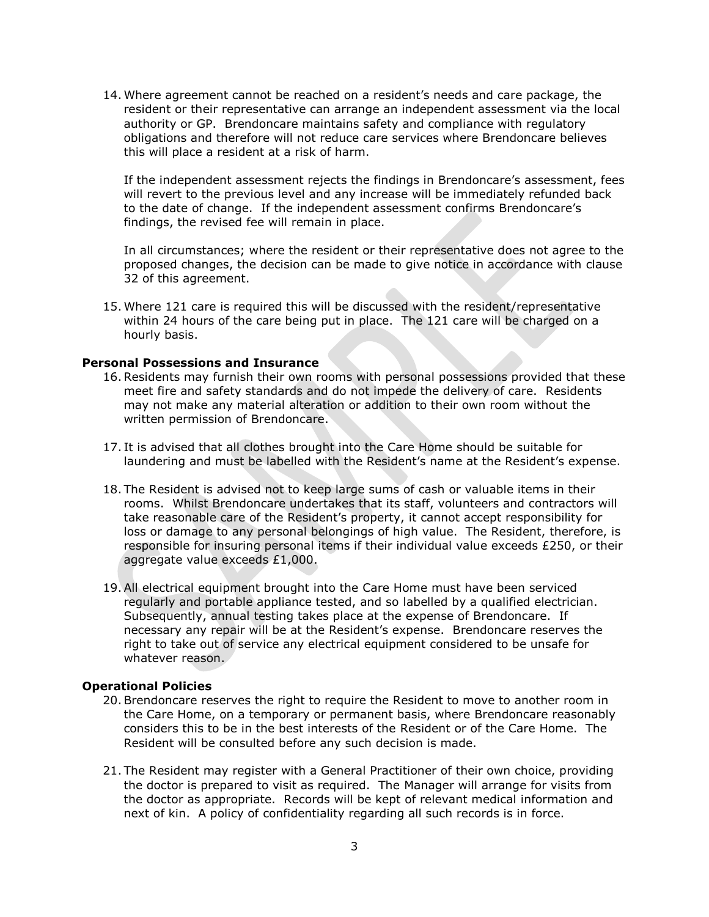14. Where agreement cannot be reached on a resident's needs and care package, the resident or their representative can arrange an independent assessment via the local authority or GP. Brendoncare maintains safety and compliance with regulatory obligations and therefore will not reduce care services where Brendoncare believes this will place a resident at a risk of harm.

If the independent assessment rejects the findings in Brendoncare's assessment, fees will revert to the previous level and any increase will be immediately refunded back to the date of change. If the independent assessment confirms Brendoncare's findings, the revised fee will remain in place.

In all circumstances; where the resident or their representative does not agree to the proposed changes, the decision can be made to give notice in accordance with clause 32 of this agreement.

15. Where 121 care is required this will be discussed with the resident/representative within 24 hours of the care being put in place. The 121 care will be charged on a hourly basis.

#### **Personal Possessions and Insurance**

- 16.Residents may furnish their own rooms with personal possessions provided that these meet fire and safety standards and do not impede the delivery of care. Residents may not make any material alteration or addition to their own room without the written permission of Brendoncare.
- 17. It is advised that all clothes brought into the Care Home should be suitable for laundering and must be labelled with the Resident's name at the Resident's expense.
- 18. The Resident is advised not to keep large sums of cash or valuable items in their rooms. Whilst Brendoncare undertakes that its staff, volunteers and contractors will take reasonable care of the Resident's property, it cannot accept responsibility for loss or damage to any personal belongings of high value. The Resident, therefore, is responsible for insuring personal items if their individual value exceeds £250, or their aggregate value exceeds £1,000.
- 19.All electrical equipment brought into the Care Home must have been serviced regularly and portable appliance tested, and so labelled by a qualified electrician. Subsequently, annual testing takes place at the expense of Brendoncare. If necessary any repair will be at the Resident's expense. Brendoncare reserves the right to take out of service any electrical equipment considered to be unsafe for whatever reason.

### **Operational Policies**

- 20.Brendoncare reserves the right to require the Resident to move to another room in the Care Home, on a temporary or permanent basis, where Brendoncare reasonably considers this to be in the best interests of the Resident or of the Care Home. The Resident will be consulted before any such decision is made.
- 21. The Resident may register with a General Practitioner of their own choice, providing the doctor is prepared to visit as required. The Manager will arrange for visits from the doctor as appropriate. Records will be kept of relevant medical information and next of kin. A policy of confidentiality regarding all such records is in force.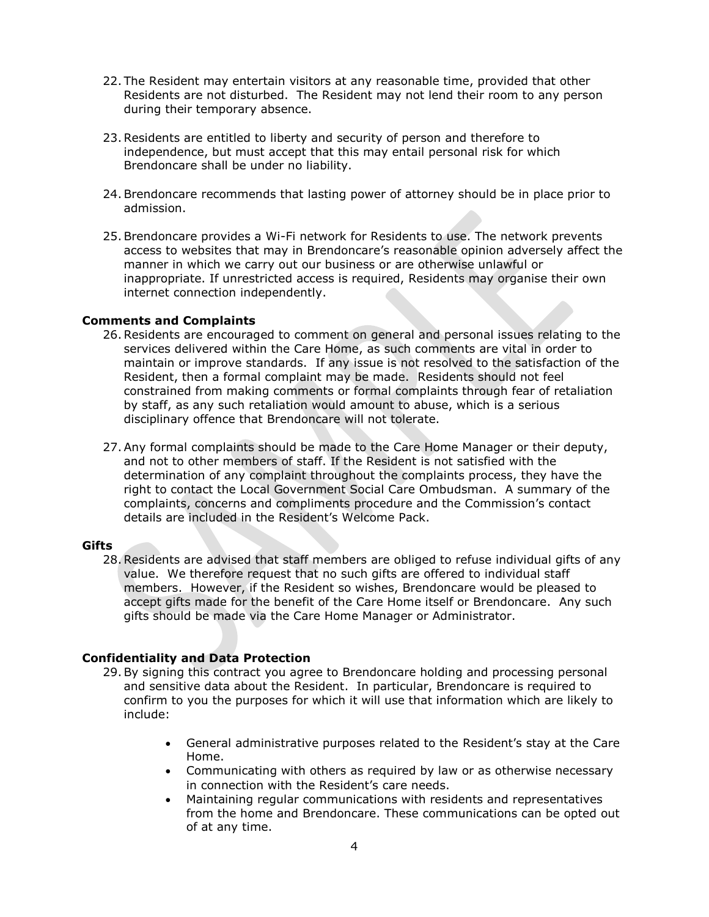- 22. The Resident may entertain visitors at any reasonable time, provided that other Residents are not disturbed. The Resident may not lend their room to any person during their temporary absence.
- 23.Residents are entitled to liberty and security of person and therefore to independence, but must accept that this may entail personal risk for which Brendoncare shall be under no liability.
- 24.Brendoncare recommends that lasting power of attorney should be in place prior to admission.
- 25.Brendoncare provides a Wi-Fi network for Residents to use. The network prevents access to websites that may in Brendoncare's reasonable opinion adversely affect the manner in which we carry out our business or are otherwise unlawful or inappropriate. If unrestricted access is required, Residents may organise their own internet connection independently.

#### **Comments and Complaints**

- 26.Residents are encouraged to comment on general and personal issues relating to the services delivered within the Care Home, as such comments are vital in order to maintain or improve standards. If any issue is not resolved to the satisfaction of the Resident, then a formal complaint may be made. Residents should not feel constrained from making comments or formal complaints through fear of retaliation by staff, as any such retaliation would amount to abuse, which is a serious disciplinary offence that Brendoncare will not tolerate.
- 27.Any formal complaints should be made to the Care Home Manager or their deputy, and not to other members of staff. If the Resident is not satisfied with the determination of any complaint throughout the complaints process, they have the right to contact the Local Government Social Care Ombudsman. A summary of the complaints, concerns and compliments procedure and the Commission's contact details are included in the Resident's Welcome Pack.

#### **Gifts**

28.Residents are advised that staff members are obliged to refuse individual gifts of any value. We therefore request that no such gifts are offered to individual staff members. However, if the Resident so wishes, Brendoncare would be pleased to accept gifts made for the benefit of the Care Home itself or Brendoncare. Any such gifts should be made via the Care Home Manager or Administrator.

#### **Confidentiality and Data Protection**

- 29.By signing this contract you agree to Brendoncare holding and processing personal and sensitive data about the Resident. In particular, Brendoncare is required to confirm to you the purposes for which it will use that information which are likely to include:
	- General administrative purposes related to the Resident's stay at the Care Home.
	- Communicating with others as required by law or as otherwise necessary in connection with the Resident's care needs.
	- Maintaining regular communications with residents and representatives from the home and Brendoncare. These communications can be opted out of at any time.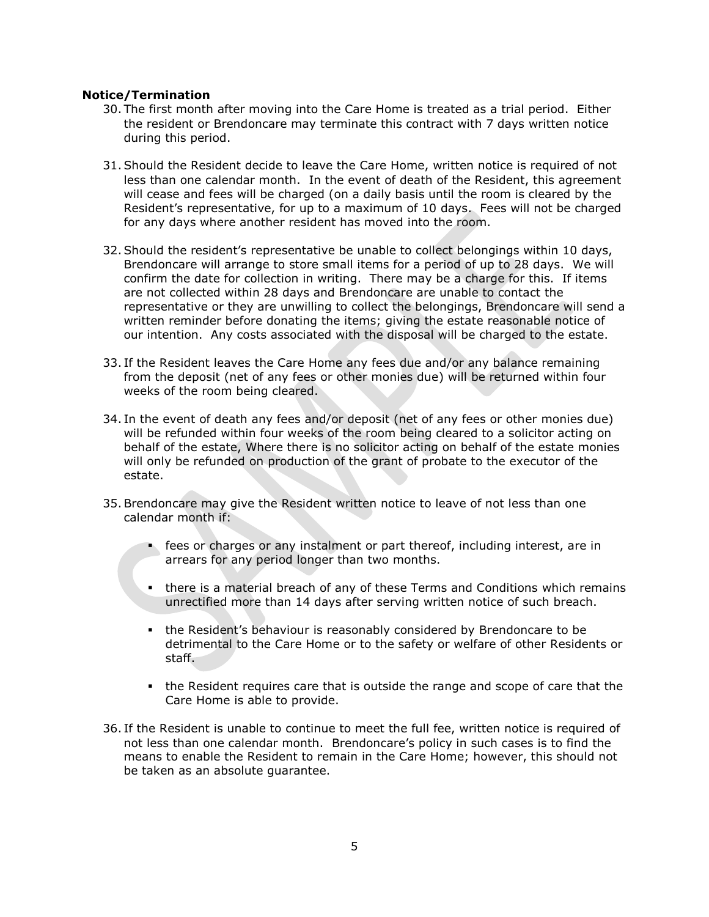### **Notice/Termination**

- 30. The first month after moving into the Care Home is treated as a trial period. Either the resident or Brendoncare may terminate this contract with 7 days written notice during this period.
- 31.Should the Resident decide to leave the Care Home, written notice is required of not less than one calendar month. In the event of death of the Resident, this agreement will cease and fees will be charged (on a daily basis until the room is cleared by the Resident's representative, for up to a maximum of 10 days. Fees will not be charged for any days where another resident has moved into the room.
- 32.Should the resident's representative be unable to collect belongings within 10 days, Brendoncare will arrange to store small items for a period of up to 28 days. We will confirm the date for collection in writing. There may be a charge for this. If items are not collected within 28 days and Brendoncare are unable to contact the representative or they are unwilling to collect the belongings, Brendoncare will send a written reminder before donating the items; giving the estate reasonable notice of our intention. Any costs associated with the disposal will be charged to the estate.
- 33. If the Resident leaves the Care Home any fees due and/or any balance remaining from the deposit (net of any fees or other monies due) will be returned within four weeks of the room being cleared.
- 34. In the event of death any fees and/or deposit (net of any fees or other monies due) will be refunded within four weeks of the room being cleared to a solicitor acting on behalf of the estate, Where there is no solicitor acting on behalf of the estate monies will only be refunded on production of the grant of probate to the executor of the estate.
- 35.Brendoncare may give the Resident written notice to leave of not less than one calendar month if:
	- fees or charges or any instalment or part thereof, including interest, are in arrears for any period longer than two months.
	- there is a material breach of any of these Terms and Conditions which remains unrectified more than 14 days after serving written notice of such breach.
	- the Resident's behaviour is reasonably considered by Brendoncare to be detrimental to the Care Home or to the safety or welfare of other Residents or staff.
	- the Resident requires care that is outside the range and scope of care that the Care Home is able to provide.
- 36. If the Resident is unable to continue to meet the full fee, written notice is required of not less than one calendar month. Brendoncare's policy in such cases is to find the means to enable the Resident to remain in the Care Home; however, this should not be taken as an absolute guarantee.